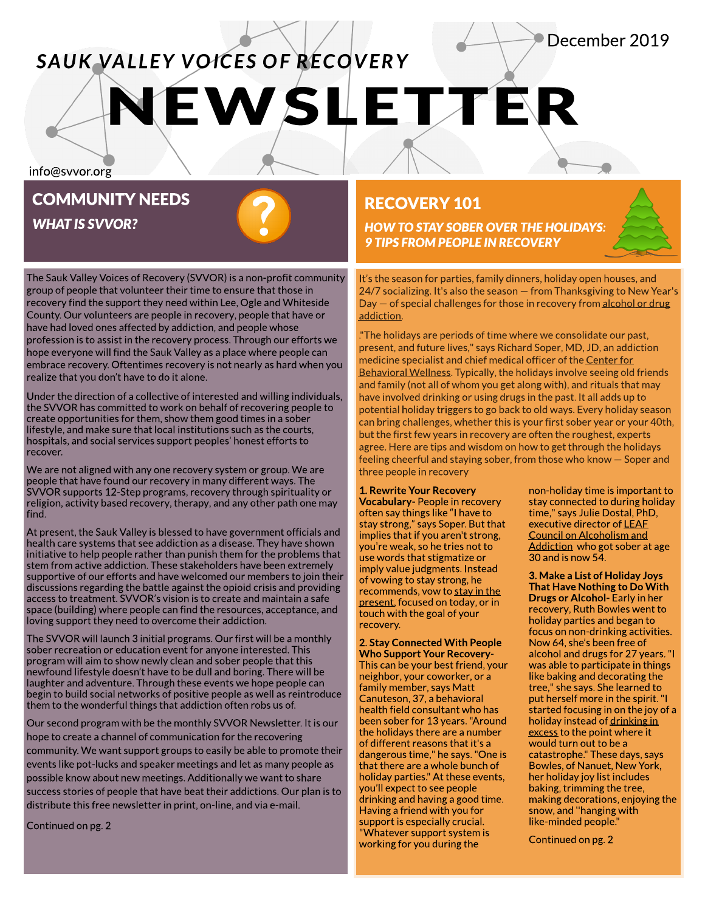# **VEWSLETTER SAUK VALLEY VOICES OF RECOVERY**

info@svvor.org

# COMMUNITY NEEDS

**WHAT IS SVVOR?** 

The Sauk Valley Voices of Recovery (SVVOR) is a non-profit community group of people that volunteer their time to ensure that those in recovery find the support they need within Lee, Ogle and Whiteside County. Our volunteers are people in recovery, people that have or have had loved ones affected by addiction, and people whose profession is to assist in the recovery process.Through our effortswe hope everyone will find the Sauk Valley as a place where people can embrace recovery. Oftentimes recovery is not nearly as hard when you realize that you don't have to do it alone.

Under the direction of a collective of interested and willing individuals, the SVVOR has committed to work on behalf of recovering people to create opportunities for them, show them good times in a sober lifestyle, and make sure that local institutions such as the courts, hospitals, and social services support peoples' honest efforts to recover.

We are not aligned with any one recovery system or group.We are people that have found our recovery in many different ways.The SVVOR supports 12-Step programs, recovery through spirituality or religion, activity based recovery, therapy, and any other path one may find.

At present, the Sauk Valley is blessed to have government officials and health care systems that see addiction as a disease. They have shown initiative to help people rather than punish them for the problems that stem from active addiction. These stakeholders have been extremely supportive of our efforts and have welcomed our members to join their discussions regarding the battle against the opioid crisisand providing access to treatment.SVVOR?s vision isto create and maintain a safe space (building) where people can find the resources, acceptance, and loving support they need to overcome their addiction.

The SVVOR will launch 3 initial programs. Our first will be a monthly sober recreation or education event for anyone interested.This program will aim to show newly clean and sober people that this newfound lifestyle doesn't have to be dull and boring. There will be laughter and adventure. Through these events we hope people can begin to build social networks of positive people as well as reintroduce them to the wonderful things that addiction often robs us of.

Our second program with be the monthly SVVOR Newsletter. It is our hope to create a channel of communication for the recovering community. We want support groups to easily be able to promote their events like pot-lucks and speaker meetings and let as many people as possible know about new meetings. Additionally we want to share success stories of people that have beat their addictions. Our plan is to distribute this free newsletter in print, on-line, and via e-mail.

Continued on pg.2

### RECOVERY 101

**HOW TO STAY SOBER OVER THE HOLIDAYS: 9 TIPSFROM PEOPLEIN RECOVERY**

It's the season for parties, family dinners, holiday open houses, and 24/7 socializing. It's also the season - from Thanksgiving to New Year's Day – of special challenges for those in recovery from [alcohol](https://www.everydayhealth.com/depression/depression-and-substance-abuse.aspx) [or](https://www.everydayhealth.com/depression/depression-and-substance-abuse.aspx) [drug](https://www.everydayhealth.com/depression/depression-and-substance-abuse.aspx) [addiction](https://www.everydayhealth.com/depression/depression-and-substance-abuse.aspx).

."The holidays are periods of time where we consolidate our past, present, and future lives," says Richard Soper, MD, JD, an addiction medicine specialist and chief medical officer of the [Center](http://www.ctr4bewell.com/) [for](http://www.ctr4bewell.com/) [Behavioral](http://www.ctr4bewell.com/) [Wellness.](http://www.ctr4bewell.com/) Typically, the holidays involve seeing old friends and family (not all of whom you get along with), and rituals that may have involved drinking or using drugs in the past. It all adds up to potential holiday triggers to go back to old ways. Every holiday season can bring challenges, whether this is your first sober year or your 40th, but the first few years in recovery are often the roughest, experts agree. Here are tips and wisdom on how to get through the holidays feeling cheerful and staying sober, from those who know - Soper and three people in recovery

1.Rewrite Your Recovery Vocabulary- People in recovery often say things like "I have to stay strong," says Soper. But that implies that if you aren't strong, you're weak, so he tries not to use words that stigmatize or imply value judgments. Instead of vowing to stay strong, he recommends, vow to <u>[stay](https://www.everydayhealth.com/news/things-mindful-people-differently-every-day/) [in](https://www.everydayhealth.com/news/things-mindful-people-differently-every-day/) [the](https://www.everydayhealth.com/news/things-mindful-people-differently-every-day/)</u> [present](https://www.everydayhealth.com/news/things-mindful-people-differently-every-day/), focused on today, or in touch with the goal of your recovery.

2.Stay Connected With People Who Support Your Recovery-This can be your best friend, your neighbor, your coworker, or a family member, says Matt Canuteson,37,a behavioral health field consultant who has been sober for 13 years."Around the holidays there are a number of different reasons that it's a dangerous time," he says."One is that there are awhole bunch of holiday parties." At these events, you?ll expect to see people drinking and having a good time. Having a friend with you for support is especially crucial. "Whatever support system is working for you during the

non-holiday time is important to stay connected to during holiday time," says Julie Dostal, PhD, executive director of **[LEAF](http://leafinc.org/about-leaf/)** [Council](http://leafinc.org/about-leaf/) [on](http://leafinc.org/about-leaf/) [Alcoholism](http://leafinc.org/about-leaf/) [and](http://leafinc.org/about-leaf/) [Addiction](http://leafinc.org/about-leaf/) who got sober at age 30 and is now 54.

December 2019

3. Make a List of Holiday Joys That Have Nothing to Do With **Drugs or Alcohol-** Early in her recovery, Ruth Bowles went to holiday parties and began to focus on non-drinking activities. Now 64, she's been free of alcohol and drugs for 27 years."I wasable to participate in things like baking and decorating the tree," she says. She learned to put herself more in the spirit."I started focusing in on the joy of a holiday instead of [drinking](https://www.everydayhealth.com/news/essential-facts-about-alcohol-abuse/) [in](https://www.everydayhealth.com/news/essential-facts-about-alcohol-abuse/) [excess](https://www.everydayhealth.com/news/essential-facts-about-alcohol-abuse/) to the point where it would turn out to be a catastrophe." These days, says Bowles, of Nanuet, New York, her holiday joy list includes baking, trimming the tree, making decorations,enjoying the snow,and ''hanging with like-minded people."

Continued on pg.2